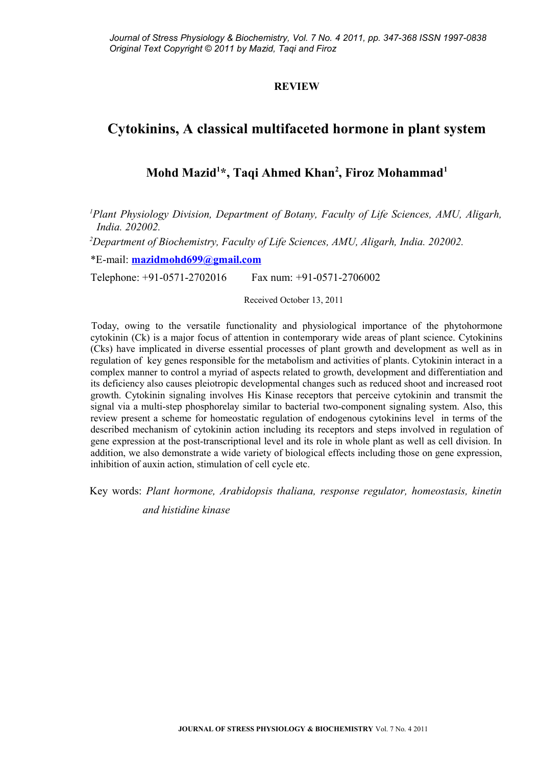### **REVIEW**

# **Cytokinins, A classical multifaceted hormone in plant system**

## **Mohd Mazid<sup>1</sup> \*, Taqi Ahmed Khan<sup>2</sup> , Firoz Mohammad<sup>1</sup>**

*<sup>1</sup>Plant Physiology Division, Department of Botany, Faculty of Life Sciences, AMU, Aligarh, India. 202002.* 

*<sup>2</sup>Department of Biochemistry, Faculty of Life Sciences, AMU, Aligarh, India. 202002.*

\*E-mail: **[mazidmohd699@gmail.com](mailto:mazidmohd699@gmail.com)**

Telephone: +91-0571-2702016 Fax num: +91-0571-2706002

Received October 13, 2011

Today, owing to the versatile functionality and physiological importance of the phytohormone cytokinin (Ck) is a major focus of attention in contemporary wide areas of plant science. Cytokinins (Cks) have implicated in diverse essential processes of plant growth and development as well as in regulation of key genes responsible for the metabolism and activities of plants. Cytokinin interact in a complex manner to control a myriad of aspects related to growth, development and differentiation and its deficiency also causes pleiotropic developmental changes such as reduced shoot and increased root growth. Cytokinin signaling involves His Kinase receptors that perceive cytokinin and transmit the signal via a multi-step phosphorelay similar to bacterial two-component signaling system. Also, this review present a scheme for homeostatic regulation of endogenous cytokinins level in terms of the described mechanism of cytokinin action including its receptors and steps involved in regulation of gene expression at the post-transcriptional level and its role in whole plant as well as cell division. In addition, we also demonstrate a wide variety of biological effects including those on gene expression, inhibition of auxin action, stimulation of cell cycle etc.

Key words: *Plant hormone, Arabidopsis thaliana, response regulator, homeostasis, kinetin*

*and histidine kinase*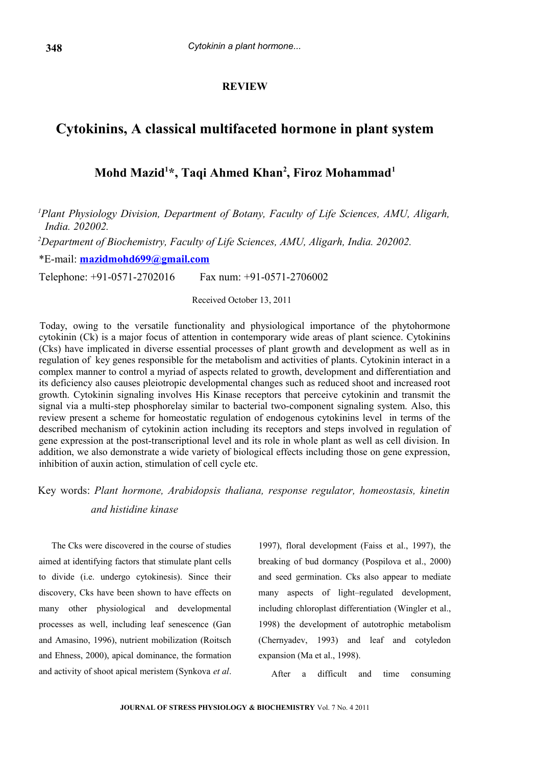### **REVIEW**

### **Cytokinins, A classical multifaceted hormone in plant system**

### **Mohd Mazid<sup>1</sup> \*, Taqi Ahmed Khan<sup>2</sup> , Firoz Mohammad<sup>1</sup>**

*<sup>1</sup>Plant Physiology Division, Department of Botany, Faculty of Life Sciences, AMU, Aligarh, India. 202002.* 

*<sup>2</sup>Department of Biochemistry, Faculty of Life Sciences, AMU, Aligarh, India. 202002.*

\*E-mail: **[mazidmohd699@gmail.com](mailto:mazidmohd699@gmail.com)**

Telephone: +91-0571-2702016 Fax num: +91-0571-2706002

Received October 13, 2011

Today, owing to the versatile functionality and physiological importance of the phytohormone cytokinin (Ck) is a major focus of attention in contemporary wide areas of plant science. Cytokinins (Cks) have implicated in diverse essential processes of plant growth and development as well as in regulation of key genes responsible for the metabolism and activities of plants. Cytokinin interact in a complex manner to control a myriad of aspects related to growth, development and differentiation and its deficiency also causes pleiotropic developmental changes such as reduced shoot and increased root growth. Cytokinin signaling involves His Kinase receptors that perceive cytokinin and transmit the signal via a multi-step phosphorelay similar to bacterial two-component signaling system. Also, this review present a scheme for homeostatic regulation of endogenous cytokinins level in terms of the described mechanism of cytokinin action including its receptors and steps involved in regulation of gene expression at the post-transcriptional level and its role in whole plant as well as cell division. In addition, we also demonstrate a wide variety of biological effects including those on gene expression, inhibition of auxin action, stimulation of cell cycle etc.

Key words: *Plant hormone, Arabidopsis thaliana, response regulator, homeostasis, kinetin and histidine kinase*

The Cks were discovered in the course of studies aimed at identifying factors that stimulate plant cells to divide (i.e. undergo cytokinesis). Since their discovery, Cks have been shown to have effects on many other physiological and developmental processes as well, including leaf senescence (Gan and Amasino, 1996), nutrient mobilization (Roitsch and Ehness, 2000), apical dominance, the formation and activity of shoot apical meristem (Synkova *et al*.

1997), floral development (Faiss et al., 1997), the breaking of bud dormancy (Pospilova et al., 2000) and seed germination. Cks also appear to mediate many aspects of light–regulated development, including chloroplast differentiation (Wingler et al., 1998) the development of autotrophic metabolism (Chernyadev, 1993) and leaf and cotyledon expansion (Ma et al., 1998).

After a difficult and time consuming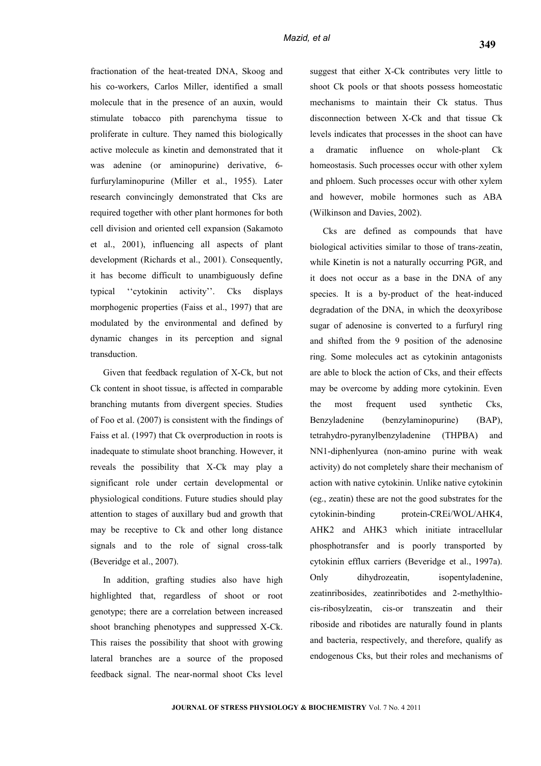fractionation of the heat-treated DNA, Skoog and his co-workers, Carlos Miller, identified a small molecule that in the presence of an auxin, would stimulate tobacco pith parenchyma tissue to proliferate in culture. They named this biologically active molecule as kinetin and demonstrated that it was adenine (or aminopurine) derivative, 6 furfurylaminopurine (Miller et al., 1955). Later research convincingly demonstrated that Cks are required together with other plant hormones for both cell division and oriented cell expansion (Sakamoto et al., 2001), influencing all aspects of plant development (Richards et al., 2001). Consequently, it has become difficult to unambiguously define typical ''cytokinin activity''. Cks displays morphogenic properties (Faiss et al., 1997) that are modulated by the environmental and defined by dynamic changes in its perception and signal transduction.

Given that feedback regulation of X-Ck, but not Ck content in shoot tissue, is affected in comparable branching mutants from divergent species. Studies of Foo et al. (2007) is consistent with the findings of Faiss et al. (1997) that Ck overproduction in roots is inadequate to stimulate shoot branching. However, it reveals the possibility that X-Ck may play a significant role under certain developmental or physiological conditions. Future studies should play attention to stages of auxillary bud and growth that may be receptive to Ck and other long distance signals and to the role of signal cross-talk (Beveridge et al., 2007).

In addition, grafting studies also have high highlighted that, regardless of shoot or root genotype; there are a correlation between increased shoot branching phenotypes and suppressed X-Ck. This raises the possibility that shoot with growing lateral branches are a source of the proposed feedback signal. The near-normal shoot Cks level suggest that either X-Ck contributes very little to shoot Ck pools or that shoots possess homeostatic mechanisms to maintain their Ck status. Thus disconnection between X-Ck and that tissue Ck levels indicates that processes in the shoot can have a dramatic influence on whole-plant Ck homeostasis. Such processes occur with other xylem and phloem. Such processes occur with other xylem and however, mobile hormones such as ABA (Wilkinson and Davies, 2002).

Cks are defined as compounds that have biological activities similar to those of trans-zeatin, while Kinetin is not a naturally occurring PGR, and it does not occur as a base in the DNA of any species. It is a by-product of the heat-induced degradation of the DNA, in which the deoxyribose sugar of adenosine is converted to a furfuryl ring and shifted from the 9 position of the adenosine ring. Some molecules act as cytokinin antagonists are able to block the action of Cks, and their effects may be overcome by adding more cytokinin. Even the most frequent used synthetic Cks, Benzyladenine (benzylaminopurine) (BAP), tetrahydro-pyranylbenzyladenine (THPBA) and NN1-diphenlyurea (non-amino purine with weak activity) do not completely share their mechanism of action with native cytokinin. Unlike native cytokinin (eg., zeatin) these are not the good substrates for the cytokinin-binding protein-CREi/WOL/AHK4, AHK2 and AHK3 which initiate intracellular phosphotransfer and is poorly transported by cytokinin efflux carriers (Beveridge et al., 1997a). Only dihydrozeatin, isopentyladenine, zeatinribosides, zeatinribotides and 2-methylthiocis-ribosylzeatin, cis-or transzeatin and their riboside and ribotides are naturally found in plants and bacteria, respectively, and therefore, qualify as endogenous Cks, but their roles and mechanisms of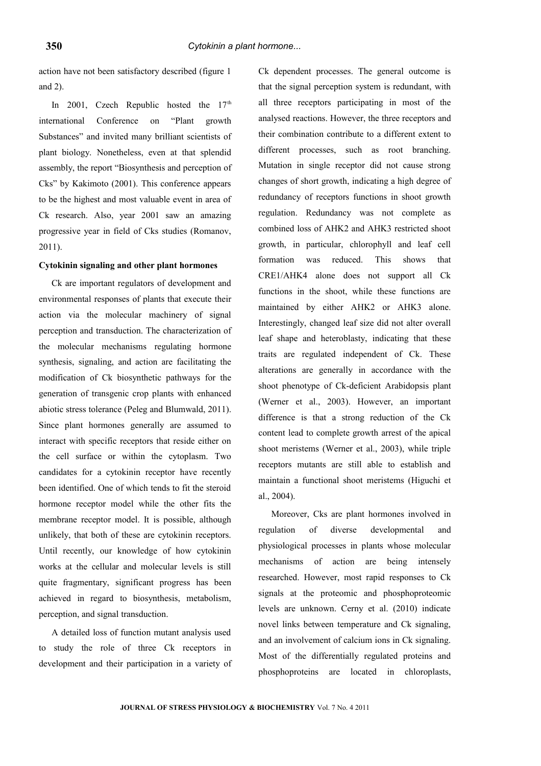action have not been satisfactory described (figure 1 and 2).

In 2001, Czech Republic hosted the  $17<sup>th</sup>$ international Conference on "Plant growth Substances" and invited many brilliant scientists of plant biology. Nonetheless, even at that splendid assembly, the report "Biosynthesis and perception of Cks" by Kakimoto (2001). This conference appears to be the highest and most valuable event in area of Ck research. Also, year 2001 saw an amazing progressive year in field of Cks studies (Romanov, 2011).

#### **Cytokinin signaling and other plant hormones**

Ck are important regulators of development and environmental responses of plants that execute their action via the molecular machinery of signal perception and transduction. The characterization of the molecular mechanisms regulating hormone synthesis, signaling, and action are facilitating the modification of Ck biosynthetic pathways for the generation of transgenic crop plants with enhanced abiotic stress tolerance (Peleg and Blumwald, 2011). Since plant hormones generally are assumed to interact with specific receptors that reside either on the cell surface or within the cytoplasm. Two candidates for a cytokinin receptor have recently been identified. One of which tends to fit the steroid hormone receptor model while the other fits the membrane receptor model. It is possible, although unlikely, that both of these are cytokinin receptors. Until recently, our knowledge of how cytokinin works at the cellular and molecular levels is still quite fragmentary, significant progress has been achieved in regard to biosynthesis, metabolism, perception, and signal transduction.

A detailed loss of function mutant analysis used to study the role of three Ck receptors in development and their participation in a variety of Ck dependent processes. The general outcome is that the signal perception system is redundant, with all three receptors participating in most of the analysed reactions. However, the three receptors and their combination contribute to a different extent to different processes, such as root branching. Mutation in single receptor did not cause strong changes of short growth, indicating a high degree of redundancy of receptors functions in shoot growth regulation. Redundancy was not complete as combined loss of AHK2 and AHK3 restricted shoot growth, in particular, chlorophyll and leaf cell formation was reduced. This shows that CRE1/AHK4 alone does not support all Ck functions in the shoot, while these functions are maintained by either AHK2 or AHK3 alone. Interestingly, changed leaf size did not alter overall leaf shape and heteroblasty, indicating that these traits are regulated independent of Ck. These alterations are generally in accordance with the shoot phenotype of Ck-deficient Arabidopsis plant (Werner et al., 2003). However, an important difference is that a strong reduction of the Ck content lead to complete growth arrest of the apical shoot meristems (Werner et al., 2003), while triple receptors mutants are still able to establish and maintain a functional shoot meristems (Higuchi et al., 2004).

Moreover, Cks are plant hormones involved in regulation of diverse developmental and physiological processes in plants whose molecular mechanisms of action are being intensely researched. However, most rapid responses to Ck signals at the proteomic and phosphoproteomic levels are unknown. Cerny et al. (2010) indicate novel links between temperature and Ck signaling, and an involvement of calcium ions in Ck signaling. Most of the differentially regulated proteins and phosphoproteins are located in chloroplasts,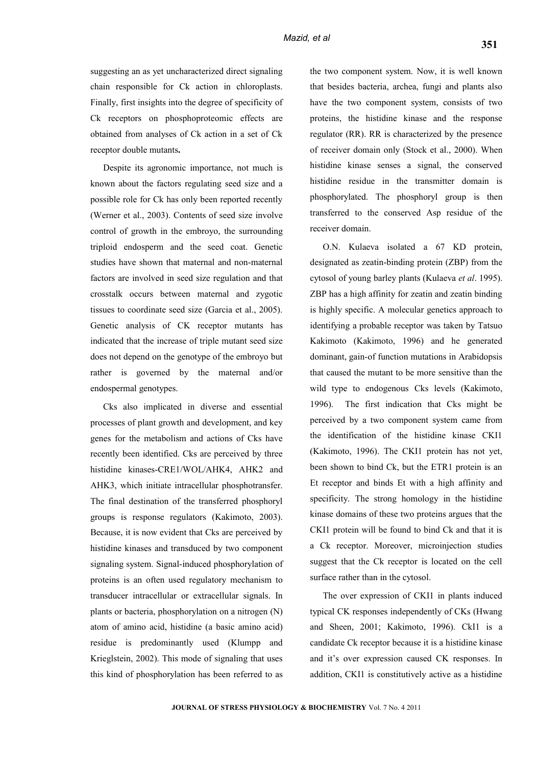suggesting an as yet uncharacterized direct signaling chain responsible for Ck action in chloroplasts. Finally, first insights into the degree of specificity of Ck receptors on phosphoproteomic effects are obtained from analyses of Ck action in a set of Ck receptor double mutants**.**

Despite its agronomic importance, not much is known about the factors regulating seed size and a possible role for Ck has only been reported recently (Werner et al., 2003). Contents of seed size involve control of growth in the embroyo, the surrounding triploid endosperm and the seed coat. Genetic studies have shown that maternal and non-maternal factors are involved in seed size regulation and that crosstalk occurs between maternal and zygotic tissues to coordinate seed size (Garcia et al., 2005). Genetic analysis of CK receptor mutants has indicated that the increase of triple mutant seed size does not depend on the genotype of the embroyo but rather is governed by the maternal and/or endospermal genotypes.

Cks also implicated in diverse and essential processes of plant growth and development, and key genes for the metabolism and actions of Cks have recently been identified. Cks are perceived by three histidine kinases-CRE1/WOL/AHK4, AHK2 and AHK3, which initiate intracellular phosphotransfer. The final destination of the transferred phosphoryl groups is response regulators (Kakimoto, 2003). Because, it is now evident that Cks are perceived by histidine kinases and transduced by two component signaling system. Signal-induced phosphorylation of proteins is an often used regulatory mechanism to transducer intracellular or extracellular signals. In plants or bacteria, phosphorylation on a nitrogen (N) atom of amino acid, histidine (a basic amino acid) residue is predominantly used (Klumpp and Krieglstein, 2002). This mode of signaling that uses this kind of phosphorylation has been referred to as

the two component system. Now, it is well known that besides bacteria, archea, fungi and plants also have the two component system, consists of two proteins, the histidine kinase and the response regulator (RR). RR is characterized by the presence of receiver domain only (Stock et al., 2000). When histidine kinase senses a signal, the conserved histidine residue in the transmitter domain is phosphorylated. The phosphoryl group is then transferred to the conserved Asp residue of the receiver domain.

O.N. Kulaeva isolated a 67 KD protein, designated as zeatin-binding protein (ZBP) from the cytosol of young barley plants (Kulaeva *et al*. 1995). ZBP has a high affinity for zeatin and zeatin binding is highly specific. A molecular genetics approach to identifying a probable receptor was taken by Tatsuo Kakimoto (Kakimoto, 1996) and he generated dominant, gain-of function mutations in Arabidopsis that caused the mutant to be more sensitive than the wild type to endogenous Cks levels (Kakimoto, 1996). The first indication that Cks might be perceived by a two component system came from the identification of the histidine kinase CKI1 (Kakimoto, 1996). The CKI1 protein has not yet, been shown to bind Ck, but the ETR1 protein is an Et receptor and binds Et with a high affinity and specificity. The strong homology in the histidine kinase domains of these two proteins argues that the CKI1 protein will be found to bind Ck and that it is a Ck receptor. Moreover, microinjection studies suggest that the Ck receptor is located on the cell surface rather than in the cytosol.

The over expression of CKI1 in plants induced typical CK responses independently of CKs (Hwang and Sheen, 2001; Kakimoto, 1996). CkI1 is a candidate Ck receptor because it is a histidine kinase and it's over expression caused CK responses. In addition, CKI1 is constitutively active as a histidine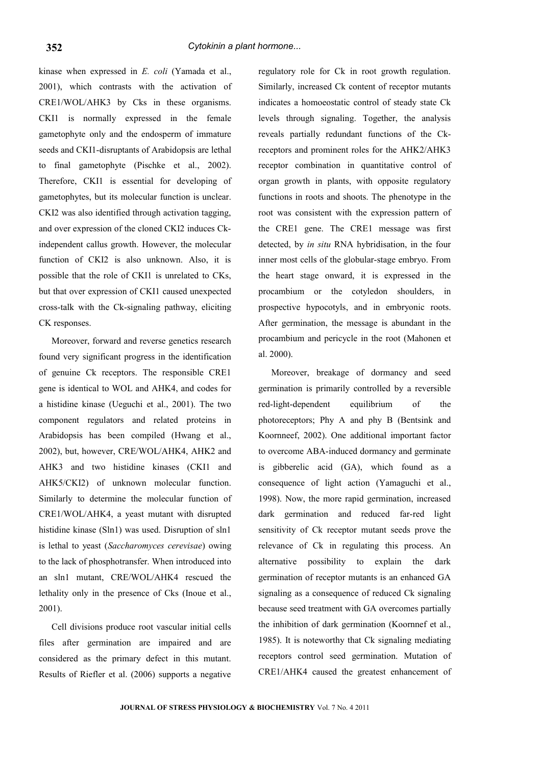kinase when expressed in *E. coli* (Yamada et al., 2001), which contrasts with the activation of CRE1/WOL/AHK3 by Cks in these organisms. CKI1 is normally expressed in the female gametophyte only and the endosperm of immature seeds and CKI1-disruptants of Arabidopsis are lethal to final gametophyte (Pischke et al., 2002). Therefore, CKI1 is essential for developing of gametophytes, but its molecular function is unclear. CKI2 was also identified through activation tagging, and over expression of the cloned CKI2 induces Ckindependent callus growth. However, the molecular function of CKI2 is also unknown. Also, it is possible that the role of CKI1 is unrelated to CKs, but that over expression of CKI1 caused unexpected cross-talk with the Ck-signaling pathway, eliciting CK responses.

Moreover, forward and reverse genetics research found very significant progress in the identification of genuine Ck receptors. The responsible CRE1 gene is identical to WOL and AHK4, and codes for a histidine kinase (Ueguchi et al., 2001). The two component regulators and related proteins in Arabidopsis has been compiled (Hwang et al., 2002), but, however, CRE/WOL/AHK4, AHK2 and AHK3 and two histidine kinases (CKI1 and AHK5/CKI2) of unknown molecular function. Similarly to determine the molecular function of CRE1/WOL/AHK4, a yeast mutant with disrupted histidine kinase (Sln1) was used. Disruption of sln1 is lethal to yeast (*Saccharomyces cerevisae*) owing to the lack of phosphotransfer. When introduced into an sln1 mutant, CRE/WOL/AHK4 rescued the lethality only in the presence of Cks (Inoue et al., 2001).

Cell divisions produce root vascular initial cells files after germination are impaired and are considered as the primary defect in this mutant. Results of Riefler et al. (2006) supports a negative

regulatory role for Ck in root growth regulation. Similarly, increased Ck content of receptor mutants indicates a homoeostatic control of steady state Ck levels through signaling. Together, the analysis reveals partially redundant functions of the Ckreceptors and prominent roles for the AHK2/AHK3 receptor combination in quantitative control of organ growth in plants, with opposite regulatory functions in roots and shoots. The phenotype in the root was consistent with the expression pattern of the CRE1 gene. The CRE1 message was first detected, by *in situ* RNA hybridisation, in the four inner most cells of the globular-stage embryo. From the heart stage onward, it is expressed in the procambium or the cotyledon shoulders, in prospective hypocotyls, and in embryonic roots. After germination, the message is abundant in the procambium and pericycle in the root (Mahonen et al. 2000).

Moreover, breakage of dormancy and seed germination is primarily controlled by a reversible red-light-dependent equilibrium of the photoreceptors; Phy A and phy B (Bentsink and Koornneef, 2002). One additional important factor to overcome ABA-induced dormancy and germinate is gibberelic acid (GA), which found as a consequence of light action (Yamaguchi et al., 1998). Now, the more rapid germination, increased dark germination and reduced far-red light sensitivity of Ck receptor mutant seeds prove the relevance of Ck in regulating this process. An alternative possibility to explain the dark germination of receptor mutants is an enhanced GA signaling as a consequence of reduced Ck signaling because seed treatment with GA overcomes partially the inhibition of dark germination (Koornnef et al., 1985). It is noteworthy that Ck signaling mediating receptors control seed germination. Mutation of CRE1/AHK4 caused the greatest enhancement of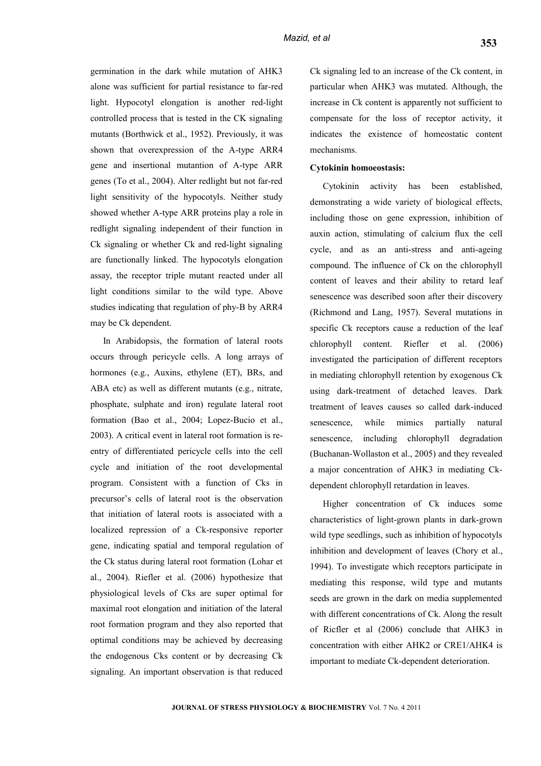germination in the dark while mutation of AHK3 alone was sufficient for partial resistance to far-red light. Hypocotyl elongation is another red-light controlled process that is tested in the CK signaling mutants (Borthwick et al., 1952). Previously, it was shown that overexpression of the A-type ARR4 gene and insertional mutantion of A-type ARR genes (To et al., 2004). Alter redlight but not far-red light sensitivity of the hypocotyls. Neither study showed whether A-type ARR proteins play a role in redlight signaling independent of their function in Ck signaling or whether Ck and red-light signaling are functionally linked. The hypocotyls elongation assay, the receptor triple mutant reacted under all light conditions similar to the wild type. Above studies indicating that regulation of phy-B by ARR4 may be Ck dependent.

In Arabidopsis, the formation of lateral roots occurs through pericycle cells. A long arrays of hormones (e.g., Auxins, ethylene (ET), BRs, and ABA etc) as well as different mutants (e.g., nitrate, phosphate, sulphate and iron) regulate lateral root formation (Bao et al., 2004; Lopez-Bucio et al., 2003). A critical event in lateral root formation is reentry of differentiated pericycle cells into the cell cycle and initiation of the root developmental program. Consistent with a function of Cks in precursor's cells of lateral root is the observation that initiation of lateral roots is associated with a localized repression of a Ck-responsive reporter gene, indicating spatial and temporal regulation of the Ck status during lateral root formation (Lohar et al., 2004). Riefler et al. (2006) hypothesize that physiological levels of Cks are super optimal for maximal root elongation and initiation of the lateral root formation program and they also reported that optimal conditions may be achieved by decreasing the endogenous Cks content or by decreasing Ck signaling. An important observation is that reduced

Ck signaling led to an increase of the Ck content, in particular when AHK3 was mutated. Although, the increase in Ck content is apparently not sufficient to compensate for the loss of receptor activity, it indicates the existence of homeostatic content mechanisms.

#### **Cytokinin homoeostasis:**

Cytokinin activity has been established, demonstrating a wide variety of biological effects, including those on gene expression, inhibition of auxin action, stimulating of calcium flux the cell cycle, and as an anti-stress and anti-ageing compound. The influence of Ck on the chlorophyll content of leaves and their ability to retard leaf senescence was described soon after their discovery (Richmond and Lang, 1957). Several mutations in specific Ck receptors cause a reduction of the leaf chlorophyll content. Riefler et al. (2006) investigated the participation of different receptors in mediating chlorophyll retention by exogenous Ck using dark-treatment of detached leaves. Dark treatment of leaves causes so called dark-induced senescence, while mimics partially natural senescence, including chlorophyll degradation (Buchanan-Wollaston et al., 2005) and they revealed a major concentration of AHK3 in mediating Ckdependent chlorophyll retardation in leaves.

Higher concentration of Ck induces some characteristics of light-grown plants in dark-grown wild type seedlings, such as inhibition of hypocotyls inhibition and development of leaves (Chory et al., 1994). To investigate which receptors participate in mediating this response, wild type and mutants seeds are grown in the dark on media supplemented with different concentrations of Ck. Along the result of Ricfler et al (2006) conclude that AHK3 in concentration with either AHK2 or CRE1/AHK4 is important to mediate Ck-dependent deterioration.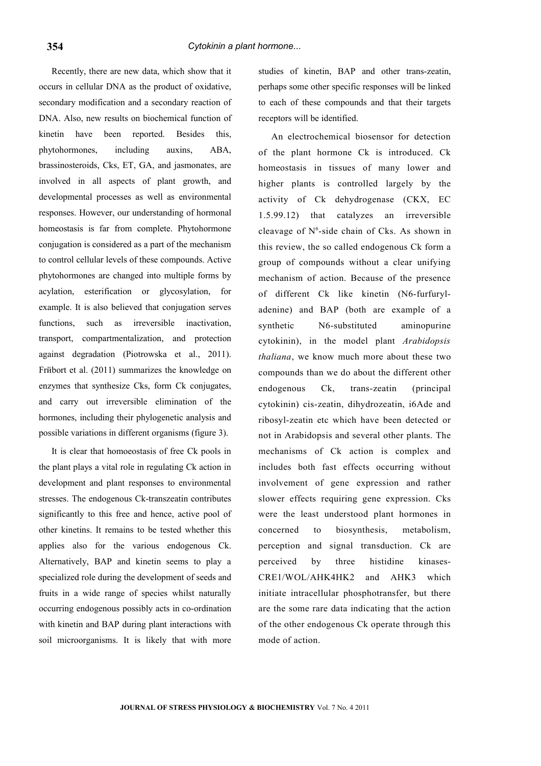Recently, there are new data, which show that it occurs in cellular DNA as the product of oxidative, secondary modification and a secondary reaction of DNA. Also, new results on biochemical function of kinetin have been reported. Besides this, phytohormones, including auxins, ABA, brassinosteroids, Cks, ET, GA, and jasmonates, are involved in all aspects of plant growth, and developmental processes as well as environmental responses. However, our understanding of hormonal homeostasis is far from complete. Phytohormone conjugation is considered as a part of the mechanism to control cellular levels of these compounds. Active phytohormones are changed into multiple forms by acylation, esterification or glycosylation, for example. It is also believed that conjugation serves functions, such as irreversible inactivation, transport, compartmentalization, and protection against degradation (Piotrowska et al., 2011). Frйbort et al. (2011) summarizes the knowledge on enzymes that synthesize Cks, form Ck conjugates, and carry out irreversible elimination of the hormones, including their phylogenetic analysis and possible variations in different organisms (figure 3).

It is clear that homoeostasis of free Ck pools in the plant plays a vital role in regulating Ck action in development and plant responses to environmental stresses. The endogenous Ck-transzeatin contributes significantly to this free and hence, active pool of other kinetins. It remains to be tested whether this applies also for the various endogenous Ck. Alternatively, BAP and kinetin seems to play a specialized role during the development of seeds and fruits in a wide range of species whilst naturally occurring endogenous possibly acts in co-ordination with kinetin and BAP during plant interactions with soil microorganisms. It is likely that with more

studies of kinetin, BAP and other trans-zeatin, perhaps some other specific responses will be linked to each of these compounds and that their targets receptors will be identified.

An electrochemical biosensor for detection of the plant hormone Ck is introduced. Ck homeostasis in tissues of many lower and higher plants is controlled largely by the activity of Ck dehydrogenase (CKX, EC 1.5.99.12) that catalyzes an irreversible cleavage of N<sup>6</sup>-side chain of Cks. As shown in this review, the so called endogenous Ck form a group of compounds without a clear unifying mechanism of action. Because of the presence of different Ck like kinetin (N6-furfuryladenine) and BAP (both are example of a synthetic N6-substituted aminopurine cytokinin), in the model plant *Arabidopsis thaliana*, we know much more about these two compounds than we do about the different other endogenous Ck, trans-zeatin (principal cytokinin) cis-zeatin, dihydrozeatin, i6Ade and ribosyl-zeatin etc which have been detected or not in Arabidopsis and several other plants. The mechanisms of Ck action is complex and includes both fast effects occurring without involvement of gene expression and rather slower effects requiring gene expression. Cks were the least understood plant hormones in concerned to biosynthesis, metabolism, perception and signal transduction. Ck are perceived by three histidine kinases-CRE1/WOL/AHK4HK2 and AHK3 which initiate intracellular phosphotransfer, but there are the some rare data indicating that the action of the other endogenous Ck operate through this mode of action.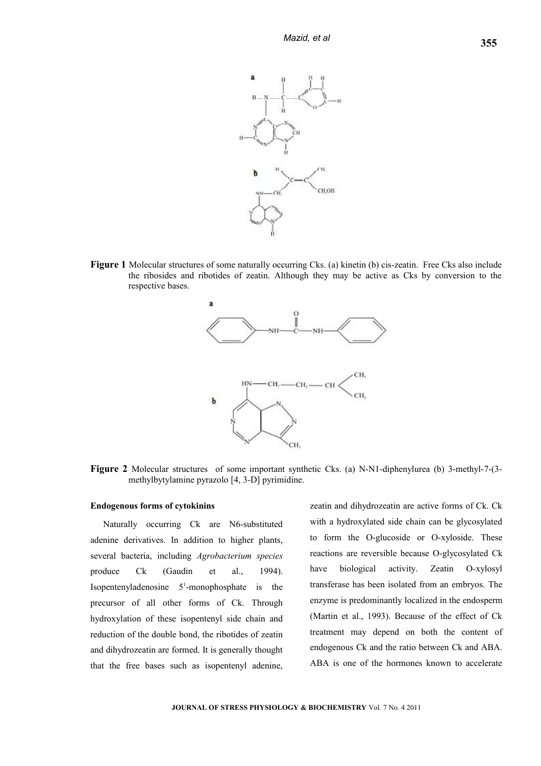

**Figure 1** Molecular structures of some naturally occurring Cks. (a) kinetin (b) cis-zeatin. Free Cks also include the ribosides and ribotides of zeatin. Although they may be active as Cks by conversion to the respective bases.



**Figure 2** Molecular structures of some important synthetic Cks. (a) N-N1-diphenylurea (b) 3-methyl-7-(3 methylbytylamine pyrazolo [4, 3-D] pyrimidine.

#### **Endogenous forms of cytokinins**

Naturally occurring Ck are N6-substituted adenine derivatives. In addition to higher plants, several bacteria, including *Agrobacterium species* produce Ck (Gaudin et al., 1994). Isopentenyladenosine  $5<sup>1</sup>$ -monophosphate is the precursor of all other forms of Ck. Through hydroxylation of these isopentenyl side chain and reduction of the double bond, the ribotides of zeatin and dihydrozeatin are formed. It is generally thought that the free bases such as isopentenyl adenine,

zeatin and dihydrozeatin are active forms of Ck. Ck with a hydroxylated side chain can be glycosylated to form the O-glucoside or O-xyloside. These reactions are reversible because O-glycosylated Ck have biological activity. Zeatin O-xylosyl transferase has been isolated from an embryos. The enzyme is predominantly localized in the endosperm (Martin et al., 1993). Because of the effect of Ck treatment may depend on both the content of endogenous Ck and the ratio between Ck and ABA. ABA is one of the hormones known to accelerate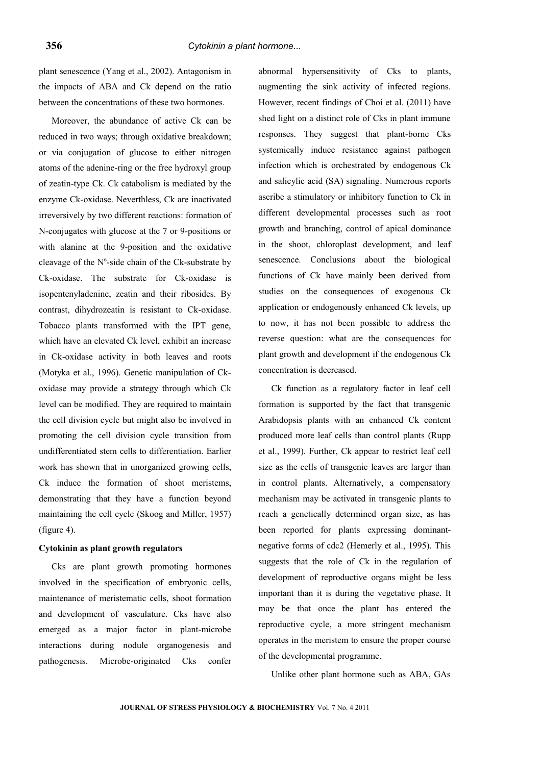plant senescence (Yang et al., 2002). Antagonism in the impacts of ABA and Ck depend on the ratio between the concentrations of these two hormones.

Moreover, the abundance of active Ck can be reduced in two ways; through oxidative breakdown; or via conjugation of glucose to either nitrogen atoms of the adenine-ring or the free hydroxyl group of zeatin-type Ck. Ck catabolism is mediated by the enzyme Ck-oxidase. Neverthless, Ck are inactivated irreversively by two different reactions: formation of N-conjugates with glucose at the 7 or 9-positions or with alanine at the 9-position and the oxidative cleavage of the  $N^6$ -side chain of the Ck-substrate by Ck-oxidase. The substrate for Ck-oxidase is isopentenyladenine, zeatin and their ribosides. By contrast, dihydrozeatin is resistant to Ck-oxidase. Tobacco plants transformed with the IPT gene, which have an elevated Ck level, exhibit an increase in Ck-oxidase activity in both leaves and roots (Motyka et al., 1996). Genetic manipulation of Ckoxidase may provide a strategy through which Ck level can be modified. They are required to maintain the cell division cycle but might also be involved in promoting the cell division cycle transition from undifferentiated stem cells to differentiation. Earlier work has shown that in unorganized growing cells, Ck induce the formation of shoot meristems, demonstrating that they have a function beyond maintaining the cell cycle (Skoog and Miller, 1957) (figure 4).

#### **Cytokinin as plant growth regulators**

Cks are plant growth promoting hormones involved in the specification of embryonic cells, maintenance of meristematic cells, shoot formation and development of vasculature. Cks have also emerged as a major factor in plant-microbe interactions during nodule organogenesis and pathogenesis. Microbe-originated Cks confer

abnormal hypersensitivity of Cks to plants, augmenting the sink activity of infected regions. However, recent findings of Choi et al. (2011) have shed light on a distinct role of Cks in plant immune responses. They suggest that plant-borne Cks systemically induce resistance against pathogen infection which is orchestrated by endogenous Ck and salicylic acid (SA) signaling. Numerous reports ascribe a stimulatory or inhibitory function to Ck in different developmental processes such as root growth and branching, control of apical dominance in the shoot, chloroplast development, and leaf senescence. Conclusions about the biological functions of Ck have mainly been derived from studies on the consequences of exogenous Ck application or endogenously enhanced Ck levels, up to now, it has not been possible to address the reverse question: what are the consequences for plant growth and development if the endogenous Ck concentration is decreased.

Ck function as a regulatory factor in leaf cell formation is supported by the fact that transgenic Arabidopsis plants with an enhanced Ck content produced more leaf cells than control plants (Rupp et al., 1999). Further, Ck appear to restrict leaf cell size as the cells of transgenic leaves are larger than in control plants. Alternatively, a compensatory mechanism may be activated in transgenic plants to reach a genetically determined organ size, as has been reported for plants expressing dominantnegative forms of cdc2 (Hemerly et al., 1995). This suggests that the role of Ck in the regulation of development of reproductive organs might be less important than it is during the vegetative phase. It may be that once the plant has entered the reproductive cycle, a more stringent mechanism operates in the meristem to ensure the proper course of the developmental programme.

Unlike other plant hormone such as ABA, GAs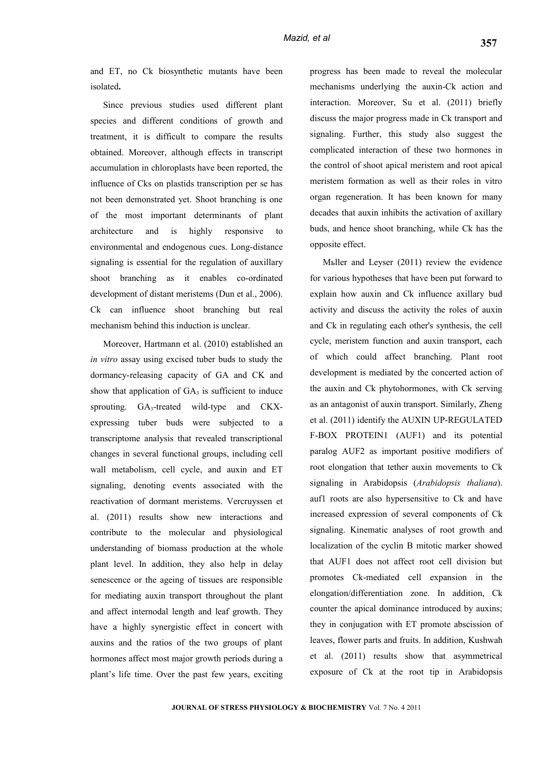Since previous studies used different plant species and different conditions of growth and treatment, it is difficult to compare the results obtained. Moreover, although effects in transcript accumulation in chloroplasts have been reported, the influence of Cks on plastids transcription per se has not been demonstrated yet. Shoot branching is one of the most important determinants of plant architecture and is highly responsive to environmental and endogenous cues. Long-distance signaling is essential for the regulation of auxillary shoot branching as it enables co-ordinated development of distant meristems (Dun et al., 2006). Ck can influence shoot branching but real mechanism behind this induction is unclear.

Moreover, Hartmann et al. (2010) established an *in vitro* assay using excised tuber buds to study the dormancy-releasing capacity of GA and CK and show that application of  $GA_3$  is sufficient to induce sprouting. GA3-treated wild-type and CKXexpressing tuber buds were subjected to a transcriptome analysis that revealed transcriptional changes in several functional groups, including cell wall metabolism, cell cycle, and auxin and ET signaling, denoting events associated with the reactivation of dormant meristems. Vercruyssen et al. (2011) results show new interactions and contribute to the molecular and physiological understanding of biomass production at the whole plant level. In addition, they also help in delay senescence or the ageing of tissues are responsible for mediating auxin transport throughout the plant and affect internodal length and leaf growth. They have a highly synergistic effect in concert with auxins and the ratios of the two groups of plant hormones affect most major growth periods during a plant's life time. Over the past few years, exciting progress has been made to reveal the molecular mechanisms underlying the auxin-Ck action and interaction. Moreover, Su et al. (2011) briefly discuss the major progress made in Ck transport and signaling. Further, this study also suggest the complicated interaction of these two hormones in the control of shoot apical meristem and root apical meristem formation as well as their roles in vitro organ regeneration. It has been known for many decades that auxin inhibits the activation of axillary buds, and hence shoot branching, while Ck has the opposite effect.

Mьller and Leyser (2011) review the evidence for various hypotheses that have been put forward to explain how auxin and Ck influence axillary bud activity and discuss the activity the roles of auxin and Ck in regulating each other's synthesis, the cell cycle, meristem function and auxin transport, each of which could affect branching. Plant root development is mediated by the concerted action of the auxin and Ck phytohormones, with Ck serving as an antagonist of auxin transport. Similarly, Zheng et al. (2011) identify the AUXIN UP-REGULATED F-BOX PROTEIN1 (AUF1) and its potential paralog AUF2 as important positive modifiers of root elongation that tether auxin movements to Ck signaling in Arabidopsis (*Arabidopsis thaliana*). auf1 roots are also hypersensitive to Ck and have increased expression of several components of Ck signaling. Kinematic analyses of root growth and localization of the cyclin B mitotic marker showed that AUF1 does not affect root cell division but promotes Ck-mediated cell expansion in the elongation/differentiation zone. In addition, Ck counter the apical dominance introduced by auxins; they in conjugation with ET promote abscission of leaves, flower parts and fruits. In addition, Kushwah et al. (2011) results show that asymmetrical exposure of Ck at the root tip in Arabidopsis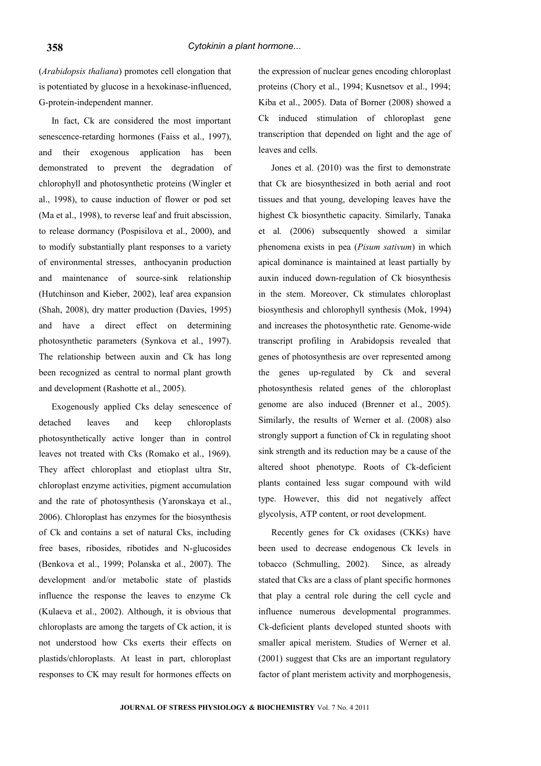(*Arabidopsis thaliana*) promotes cell elongation that is potentiated by glucose in a hexokinase-influenced, G-protein-independent manner.

In fact, Ck are considered the most important senescence-retarding hormones (Faiss et al., 1997), and their exogenous application has been demonstrated to prevent the degradation of chlorophyll and photosynthetic proteins (Wingler et al., 1998), to cause induction of flower or pod set (Ma et al., 1998), to reverse leaf and fruit abscission, to release dormancy (Pospisilova et al., 2000), and to modify substantially plant responses to a variety of environmental stresses, anthocyanin production and maintenance of source-sink relationship (Hutchinson and Kieber, 2002), leaf area expansion (Shah, 2008), dry matter production (Davies, 1995) and have a direct effect on determining photosynthetic parameters (Synkova et al., 1997). The relationship between auxin and Ck has long been recognized as central to normal plant growth and development (Rashotte et al., 2005).

Exogenously applied Cks delay senescence of detached leaves and keep chloroplasts photosynthetically active longer than in control leaves not treated with Cks (Romako et al., 1969). They affect chloroplast and etioplast ultra Str, chloroplast enzyme activities, pigment accumulation and the rate of photosynthesis (Yaronskaya et al., 2006). Chloroplast has enzymes for the biosynthesis of Ck and contains a set of natural Cks, including free bases, ribosides, ribotides and N-glucosides (Benkova et al., 1999; Polanska et al., 2007). The development and/or metabolic state of plastids influence the response the leaves to enzyme Ck (Kulaeva et al., 2002). Although, it is obvious that chloroplasts are among the targets of Ck action, it is not understood how Cks exerts their effects on plastids/chloroplasts. At least in part, chloroplast responses to CK may result for hormones effects on

the expression of nuclear genes encoding chloroplast proteins (Chory et al., 1994; Kusnetsov et al., 1994; Kiba et al., 2005). Data of Borner (2008) showed a Ck induced stimulation of chloroplast gene transcription that depended on light and the age of leaves and cells.

Jones et al. (2010) was the first to demonstrate that Ck are biosynthesized in both aerial and root tissues and that young, developing leaves have the highest Ck biosynthetic capacity. Similarly, Tanaka et al*.* (2006) subsequently showed a similar phenomena exists in pea (*Pisum sativum*) in which apical dominance is maintained at least partially by auxin induced down-regulation of Ck biosynthesis in the stem. Moreover, Ck stimulates chloroplast biosynthesis and chlorophyll synthesis (Mok, 1994) and increases the photosynthetic rate. Genome-wide transcript profiling in Arabidopsis revealed that genes of photosynthesis are over represented among the genes up-regulated by Ck and several photosynthesis related genes of the chloroplast genome are also induced (Brenner et al., 2005). Similarly, the results of Werner et al. (2008) also strongly support a function of Ck in regulating shoot sink strength and its reduction may be a cause of the altered shoot phenotype. Roots of Ck-deficient plants contained less sugar compound with wild type. However, this did not negatively affect glycolysis, ATP content, or root development.

Recently genes for Ck oxidases (CKKs) have been used to decrease endogenous Ck levels in tobacco (Schmulling, 2002). Since, as already stated that Cks are a class of plant specific hormones that play a central role during the cell cycle and influence numerous developmental programmes. Ck-deficient plants developed stunted shoots with smaller apical meristem. Studies of Werner et al. (2001) suggest that Cks are an important regulatory factor of plant meristem activity and morphogenesis,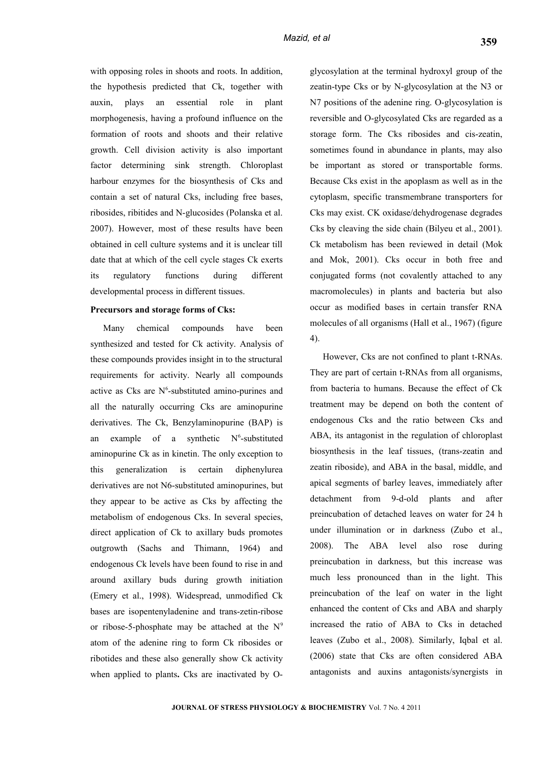with opposing roles in shoots and roots. In addition, the hypothesis predicted that Ck, together with auxin, plays an essential role in plant morphogenesis, having a profound influence on the formation of roots and shoots and their relative growth. Cell division activity is also important factor determining sink strength. Chloroplast harbour enzymes for the biosynthesis of Cks and contain a set of natural Cks, including free bases, ribosides, ribitides and N-glucosides (Polanska et al. 2007). However, most of these results have been obtained in cell culture systems and it is unclear till date that at which of the cell cycle stages Ck exerts its regulatory functions during different developmental process in different tissues.

#### **Precursors and storage forms of Cks:**

Many chemical compounds have been synthesized and tested for Ck activity. Analysis of these compounds provides insight in to the structural requirements for activity. Nearly all compounds active as Cks are  $N^6$ -substituted amino-purines and all the naturally occurring Cks are aminopurine derivatives. The Ck, Benzylaminopurine (BAP) is an example of a synthetic  $N^6$ -substituted aminopurine Ck as in kinetin. The only exception to this generalization is certain diphenylurea derivatives are not N6-substituted aminopurines, but they appear to be active as Cks by affecting the metabolism of endogenous Cks. In several species, direct application of Ck to axillary buds promotes outgrowth (Sachs and Thimann, 1964) and endogenous Ck levels have been found to rise in and around axillary buds during growth initiation (Emery et al., 1998). Widespread, unmodified Ck bases are isopentenyladenine and trans-zetin-ribose or ribose-5-phosphate may be attached at the  $N<sup>9</sup>$ atom of the adenine ring to form Ck ribosides or ribotides and these also generally show Ck activity when applied to plants**.** Cks are inactivated by O-

glycosylation at the terminal hydroxyl group of the zeatin-type Cks or by N-glycosylation at the N3 or N7 positions of the adenine ring. O-glycosylation is reversible and O-glycosylated Cks are regarded as a storage form. The Cks ribosides and cis-zeatin, sometimes found in abundance in plants, may also be important as stored or transportable forms. Because Cks exist in the apoplasm as well as in the cytoplasm, specific transmembrane transporters for Cks may exist. CK oxidase/dehydrogenase degrades Cks by cleaving the side chain (Bilyeu et al., 2001). Ck metabolism has been reviewed in detail (Mok and Mok, 2001). Cks occur in both free and conjugated forms (not covalently attached to any macromolecules) in plants and bacteria but also occur as modified bases in certain transfer RNA molecules of all organisms (Hall et al., 1967) (figure 4).

However, Cks are not confined to plant t-RNAs. They are part of certain t-RNAs from all organisms, from bacteria to humans. Because the effect of Ck treatment may be depend on both the content of endogenous Cks and the ratio between Cks and ABA, its antagonist in the regulation of chloroplast biosynthesis in the leaf tissues, (trans-zeatin and zeatin riboside), and ABA in the basal, middle, and apical segments of barley leaves, immediately after detachment from 9-d-old plants and after preincubation of detached leaves on water for 24 h under illumination or in darkness (Zubo et al., 2008). The ABA level also rose during preincubation in darkness, but this increase was much less pronounced than in the light. This preincubation of the leaf on water in the light enhanced the content of Cks and ABA and sharply increased the ratio of ABA to Cks in detached leaves (Zubo et al., 2008). Similarly, Iqbal et al. (2006) state that Cks are often considered ABA antagonists and auxins antagonists/synergists in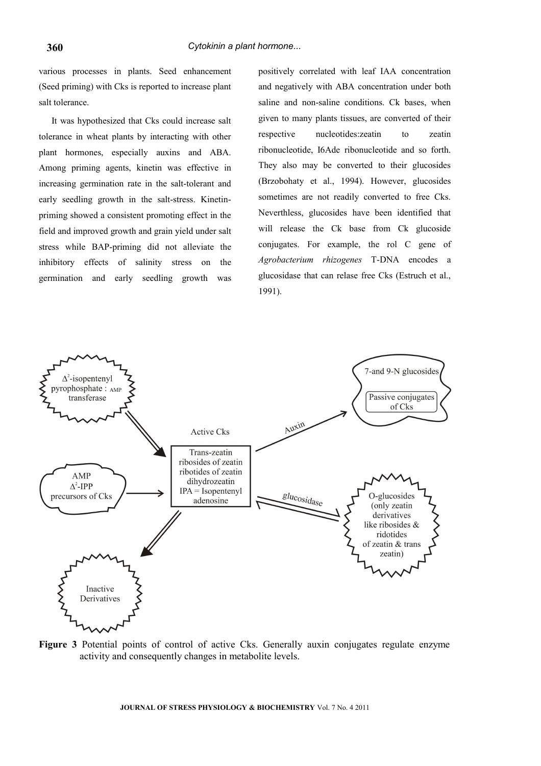various processes in plants. Seed enhancement (Seed priming) with Cks is reported to increase plant salt tolerance.

It was hypothesized that Cks could increase salt tolerance in wheat plants by interacting with other plant hormones, especially auxins and ABA. Among priming agents, kinetin was effective in increasing germination rate in the salt-tolerant and early seedling growth in the salt-stress. Kinetinpriming showed a consistent promoting effect in the field and improved growth and grain yield under salt stress while BAP-priming did not alleviate the inhibitory effects of salinity stress on the germination and early seedling growth was

positively correlated with leaf IAA concentration and negatively with ABA concentration under both saline and non-saline conditions. Ck bases, when given to many plants tissues, are converted of their respective nucleotides:zeatin to zeatin ribonucleotide, I6Ade ribonucleotide and so forth. They also may be converted to their glucosides (Brzobohaty et al., 1994). However, glucosides sometimes are not readily converted to free Cks. Neverthless, glucosides have been identified that will release the Ck base from Ck glucoside conjugates. For example, the rol C gene of *Agrobacterium rhizogenes* T-DNA encodes a glucosidase that can relase free Cks (Estruch et al., 1991).



**Figure 3** Potential points of control of active Cks. Generally auxin conjugates regulate enzyme activity and consequently changes in metabolite levels.

**JOURNAL OF STRESS PHYSIOLOGY & BIOCHEMISTRY** Vol. 7 No. 4 2011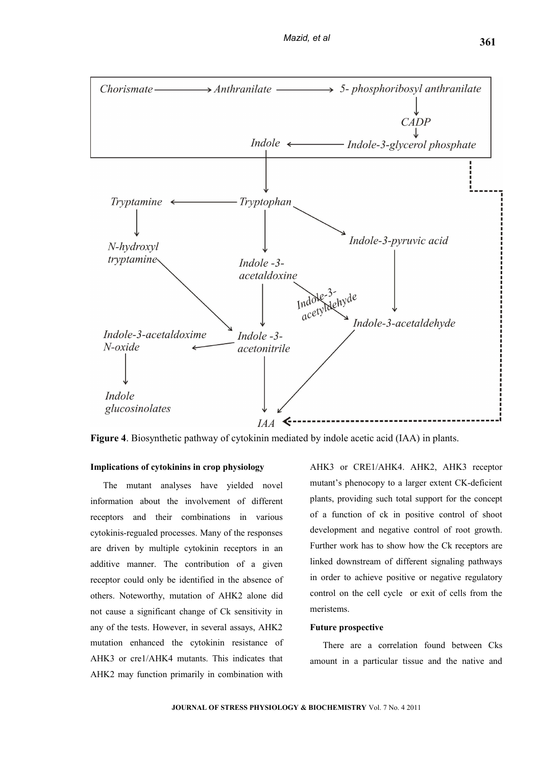

**Figure 4**. Biosynthetic pathway of cytokinin mediated by indole acetic acid (IAA) in plants.

#### **Implications of cytokinins in crop physiology**

The mutant analyses have yielded novel information about the involvement of different receptors and their combinations in various cytokinis-regualed processes. Many of the responses are driven by multiple cytokinin receptors in an additive manner. The contribution of a given receptor could only be identified in the absence of others. Noteworthy, mutation of AHK2 alone did not cause a significant change of Ck sensitivity in any of the tests. However, in several assays, AHK2 mutation enhanced the cytokinin resistance of AHK3 or cre1/AHK4 mutants. This indicates that AHK2 may function primarily in combination with

AHK3 or CRE1/AHK4. AHK2, AHK3 receptor mutant's phenocopy to a larger extent CK-deficient plants, providing such total support for the concept of a function of ck in positive control of shoot development and negative control of root growth. Further work has to show how the Ck receptors are linked downstream of different signaling pathways in order to achieve positive or negative regulatory control on the cell cycle or exit of cells from the meristems.

#### **Future prospective**

There are a correlation found between Cks amount in a particular tissue and the native and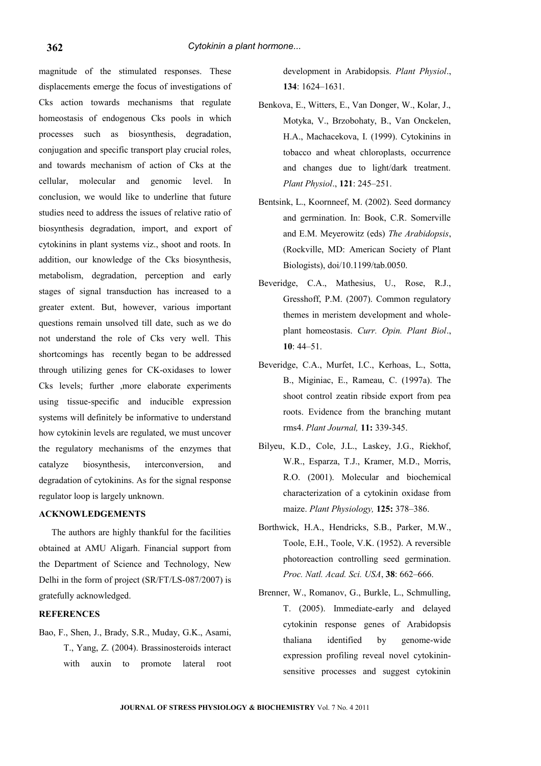#### *Cytokinin a plant hormone...*

magnitude of the stimulated responses. These displacements emerge the focus of investigations of Cks action towards mechanisms that regulate homeostasis of endogenous Cks pools in which processes such as biosynthesis, degradation, conjugation and specific transport play crucial roles, and towards mechanism of action of Cks at the cellular, molecular and genomic level. In conclusion, we would like to underline that future studies need to address the issues of relative ratio of biosynthesis degradation, import, and export of cytokinins in plant systems viz., shoot and roots. In addition, our knowledge of the Cks biosynthesis, metabolism, degradation, perception and early stages of signal transduction has increased to a greater extent. But, however, various important questions remain unsolved till date, such as we do not understand the role of Cks very well. This shortcomings has recently began to be addressed through utilizing genes for CK-oxidases to lower Cks levels; further ,more elaborate experiments using tissue-specific and inducible expression systems will definitely be informative to understand how cytokinin levels are regulated, we must uncover the regulatory mechanisms of the enzymes that catalyze biosynthesis, interconversion, and degradation of cytokinins. As for the signal response regulator loop is largely unknown.

#### **ACKNOWLEDGEMENTS**

The authors are highly thankful for the facilities obtained at AMU Aligarh. Financial support from the Department of Science and Technology, New Delhi in the form of project (SR/FT/LS-087/2007) is gratefully acknowledged.

#### **REFERENCES**

Bao, F., Shen, J., Brady, S.R., Muday, G.K., Asami, T., Yang, Z. (2004). Brassinosteroids interact with auxin to promote lateral root

development in Arabidopsis. *Plant Physiol*., **134**: 1624–1631.

- Benkova, E., Witters, E., Van Donger, W., Kolar, J., Motyka, V., Brzobohaty, B., Van Onckelen, H.A., Machacekova, I. (1999). Cytokinins in tobacco and wheat chloroplasts, occurrence and changes due to light/dark treatment. *Plant Physiol*., **121**: 245–251.
- Bentsink, L., Koornneef, M. (2002). Seed dormancy and germination. In: Book, C.R. Somerville and E.M. Meyerowitz (eds) *The Arabidopsis*, (Rockville, MD: American Society of Plant Biologists), doi/10.1199/tab.0050.
- Beveridge, C.A., Mathesius, U., Rose, R.J., Gresshoff, P.M. (2007). Common regulatory themes in meristem development and wholeplant homeostasis. *Curr. Opin. Plant Biol*., **10**: 44–51.
- Beveridge, C.A., Murfet, I.C., Kerhoas, L., Sotta, B., Miginiac, E., Rameau, C. (1997a). The shoot control zeatin ribside export from pea roots. Evidence from the branching mutant rms4. *Plant Journal,* **11:** 339-345.
- Bilyeu, K.D., Cole, J.L., Laskey, J.G., Riekhof, W.R., Esparza, T.J., Kramer, M.D., Morris, R.O. (2001). Molecular and biochemical characterization of a cytokinin oxidase from maize. *Plant Physiology,* **125:** 378–386.
- Borthwick, H.A., Hendricks, S.B., Parker, M.W., Toole, E.H., Toole, V.K. (1952). A reversible photoreaction controlling seed germination. *Proc. Natl. Acad. Sci. USA*, **38**: 662–666.
- Brenner, W., Romanov, G., Burkle, L., Schmulling, T. (2005). Immediate-early and delayed cytokinin response genes of Arabidopsis thaliana identified by genome-wide expression profiling reveal novel cytokininsensitive processes and suggest cytokinin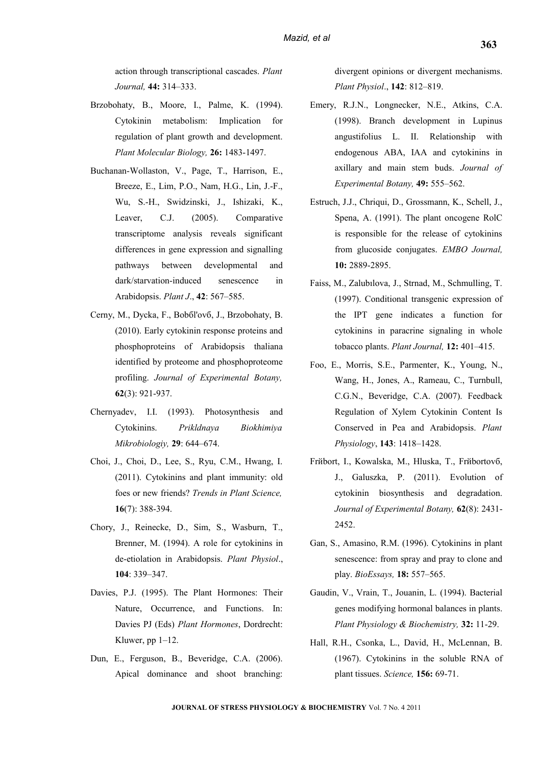action through transcriptional cascades. *Plant Journal,* **44:** 314–333.

- Brzobohaty, B., Moore, I., Palme, K. (1994). Cytokinin metabolism: Implication for regulation of plant growth and development. *Plant Molecular Biology,* **26:** 1483-1497.
- Buchanan-Wollaston, V., Page, T., Harrison, E., Breeze, E., Lim, P.O., Nam, H.G., Lin, J.-F., Wu, S.-H., Swidzinski, J., Ishizaki, K., Leaver, C.J. (2005). Comparative transcriptome analysis reveals significant differences in gene expression and signalling pathways between developmental and dark/starvation-induced senescence in Arabidopsis. *Plant J*., **42**: 567–585.
- Cerny, M., Dycka, F., Bobбl'ovб, J., Brzobohaty, B. (2010). Early cytokinin response proteins and phosphoproteins of Arabidopsis thaliana identified by proteome and phosphoproteome profiling. *[Journal of Experimental Bota](http://www.ncbi.nlm.nih.gov/pubmed/20974740)ny,* **62**(3): 921-937.
- Chernyadev, I.I. (1993). Photosynthesis and Cytokinins. *Prikldnaya Biokhimiya Mikrobiologiy,* **29**: 644–674.
- Choi, J., Choi, D., Lee, S., Ryu, C.M., Hwang, I. (2011). Cytokinins and plant immunity: old foes or new friends? *[Trends in Plant Scie](http://www.ncbi.nlm.nih.gov/pubmed/21470894)nce,* **16**(7): 388-394.
- Chory, J., Reinecke, D., Sim, S., Wasburn, T., Brenner, M. (1994). A role for cytokinins in de-etiolation in Arabidopsis. *Plant Physiol*., **104**: 339–347.
- Davies, P.J. (1995). The Plant Hormones: Their Nature, Occurrence, and Functions. In: Davies PJ (Eds) *Plant Hormones*, Dordrecht: Kluwer, pp 1–12.
- Dun, E., Ferguson, B., Beveridge, C.A. (2006). Apical dominance and shoot branching:

divergent opinions or divergent mechanisms. *Plant Physiol*., **142**: 812–819.

- Emery, R.J.N., Longnecker, N.E., Atkins, C.A. (1998). Branch development in Lupinus angustifolius L. II. Relationship with endogenous ABA, IAA and cytokinins in axillary and main stem buds. *Journal of Experimental Botany,* **49:** 555–562.
- Estruch, J.J., Chriqui, D., Grossmann, K., Schell, J., Spena, A. (1991). The plant oncogene RolC is responsible for the release of cytokinins from glucoside conjugates. *EMBO Journal,* **10:** 2889-2895.
- Faiss, M., Zalubılova, J., Strnad, M., Schmulling, T. (1997). Conditional transgenic expression of the IPT gene indicates a function for cytokinins in paracrine signaling in whole tobacco plants. *Plant Journal,* **12:** 401–415.
- Foo, E., Morris, S.E., Parmenter, K., Young, N., Wang, H., Jones, A., Rameau, C., Turnbull, C.G.N., Beveridge, C.A. (2007). Feedback Regulation of Xylem Cytokinin Content Is Conserved in Pea and Arabidopsis. *Plant Physiology*, **143**: 1418–1428.
- Frйbort, I., Kowalska, M., Hluska, T., Frйbortovб, J., Galuszka, P. (2011). Evolution of cytokinin biosynthesis and degradation. *[Journal of Experimental Bota](http://www.ncbi.nlm.nih.gov/pubmed/21321050)ny,* **62**(8): 2431- 2452.
- Gan, S., Amasino, R.M. (1996). Cytokinins in plant senescence: from spray and pray to clone and play. *BioEssays,* **18:** 557–565.
- Gaudin, V., Vrain, T., Jouanin, L. (1994). Bacterial genes modifying hormonal balances in plants. *Plant Physiology & Biochemistry,* **32:** 11-29.
- Hall, R.H., Csonka, L., David, H., McLennan, B. (1967). Cytokinins in the soluble RNA of plant tissues. *Science,* **156:** 69-71.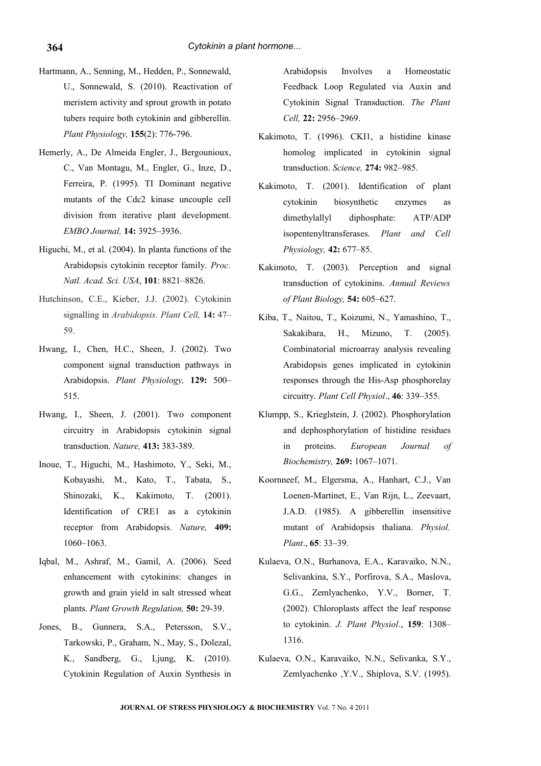- Hartmann, A., Senning, M., Hedden, P., Sonnewald, U., Sonnewald, S. (2010). Reactivation of meristem activity and sprout growth in potato tubers require both cytokinin and gibberellin. *[Plant Physiolo](http://www.ncbi.nlm.nih.gov/pubmed/21163959)gy,* **155**(2): 776-796.
- Hemerly, A., De Almeida Engler, J., Bergounioux, C., Van Montagu, M., Engler, G., Inze, D., Ferreira, P. (1995). TI Dominant negative mutants of the Cdc2 kinase uncouple cell division from iterative plant development. *EMBO Journal,* **14:** 3925–3936.
- Higuchi, M., et al. (2004). In planta functions of the Arabidopsis cytokinin receptor family. *Proc. Natl. Acad. Sci. USA*, **101**: 8821–8826.
- Hutchinson, C.E., Kieber, J.J. (2002). Cytokinin signalling in *Arabidopsis. Plant Cell,* **14:** 47– 59.
- Hwang, I., Chen, H.C., Sheen, J. (2002). Two component signal transduction pathways in Arabidopsis. *Plant Physiology,* **129:** 500– 515.
- Hwang, I., Sheen, J. (2001). Two component circuitry in Arabidopsis cytokinin signal transduction. *Nature,* **413:** 383-389.
- Inoue, T., Higuchi, M., Hashimoto, Y., Seki, M., Kobayashi, M., Kato, T., Tabata, S., Shinozaki, K., Kakimoto, T. (2001). Identification of CRE1 as a cytokinin receptor from Arabidopsis. *Nature,* **409:** 1060–1063.
- Iqbal, M., Ashraf, M., Gamil, A. (2006). Seed enhancement with cytokinins: changes in growth and grain yield in salt stressed wheat plants. *Plant Growth Regulation,* **50:** 29-39.
- Jones, B., Gunnera, S.A., Petersson, S.V., Tarkowski, P., Graham, N., May, S., Dolezal, K., Sandberg, G., Ljung, K. (2010). Cytokinin Regulation of Auxin Synthesis in

Arabidopsis Involves a Homeostatic Feedback Loop Regulated via Auxin and Cytokinin Signal Transduction. *The Plant Cell,* **22:** 2956–2969.

- Kakimoto, T. (1996). CKI1, a histidine kinase homolog implicated in cytokinin signal transduction. *Science,* **274:** 982–985.
- Kakimoto, T. (2001). Identification of plant cytokinin biosynthetic enzymes as dimethylallyl diphosphate: ATP/ADP isopentenyltransferases. *Plant and Cell Physiology,* **42:** 677–85.
- Kakimoto, T. (2003). Perception and signal transduction of cytokinins. *Annual Reviews of Plant Biology,* **54:** 605–627.
- Kiba, T., Naitou, T., Koizumi, N., Yamashino, T., Sakakibara, H., Mizuno, T. (2005). Combinatorial microarray analysis revealing Arabidopsis genes implicated in cytokinin responses through the His-Asp phosphorelay circuitry. *Plant Cell Physiol*., **46**: 339–355.
- Klumpp, S., Krieglstein, J. (2002). Phosphorylation and dephosphorylation of histidine residues in proteins. *European Journal of Biochemistry,* **269:** 1067–1071.
- Koornneef, M., Elgersma, A., Hanhart, C.J., Van Loenen-Martinet, E., Van Rijn, L., Zeevaart, J.A.D. (1985). A gibberellin insensitive mutant of Arabidopsis thaliana. *Physiol. Plant*., **65**: 33–39.
- Kulaeva, O.N., Burhanova, E.A., Karavaiko, N.N., Selivankina, S.Y., Porfirova, S.A., Maslova, G.G., Zemlyachenko, Y.V., Borner, T. (2002). Chloroplasts affect the leaf response to cytokinin. *J. Plant Physiol*., **159**: 1308– 1316.
- Kulaeva, O.N., Karavaiko, N.N., Selivanka, S.Y., Zemlyachenko ,Y.V., Shiplova, S.V. (1995).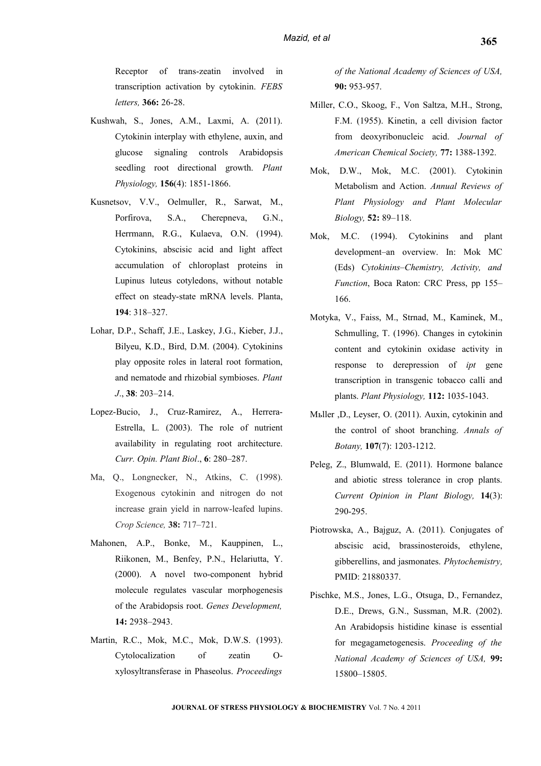Receptor of trans-zeatin involved in transcription activation by cytokinin. *FEBS letters,* **366:** 26-28.

- Kushwah, S., Jones, A.M., Laxmi, A. (2011). Cytokinin interplay with ethylene, auxin, and glucose signaling controls Arabidopsis seedling root directional growth. *[Plant](http://www.ncbi.nlm.nih.gov/pubmed/21666052) [Physiolo](http://www.ncbi.nlm.nih.gov/pubmed/21666052)gy,* **156**(4): 1851-1866.
- Kusnetsov, V.V., Oelmuller, R., Sarwat, M., Porfirova, S.A., Cherepneva, G.N., Herrmann, R.G., Kulaeva, O.N. (1994). Cytokinins, abscisic acid and light affect accumulation of chloroplast proteins in Lupinus luteus cotyledons, without notable effect on steady-state mRNA levels. Planta, **194**: 318–327.
- Lohar, D.P., Schaff, J.E., Laskey, J.G., Kieber, J.J., Bilyeu, K.D., Bird, D.M. (2004). Cytokinins play opposite roles in lateral root formation, and nematode and rhizobial symbioses. *Plant J*., **38**: 203–214.
- Lopez-Bucio, J., Cruz-Ramirez, A., Herrera-Estrella, L. (2003). The role of nutrient availability in regulating root architecture. *Curr. Opin. Plant Biol*., **6**: 280–287.
- Ma, Q., Longnecker, N., Atkins, C. (1998). Exogenous cytokinin and nitrogen do not increase grain yield in narrow-leafed lupins. *Crop Science,* **38:** 717–721.
- Mahonen, A.P., Bonke, M., Kauppinen, L., Riikonen, M., Benfey, P.N., Helariutta, Y. (2000). A novel two-component hybrid molecule regulates vascular morphogenesis of the Arabidopsis root. *Genes Development,* **14:** 2938–2943.
- Martin, R.C., Mok, M.C., Mok, D.W.S. (1993). Cytolocalization of zeatin Oxylosyltransferase in Phaseolus. *Proceedings*

*of the National Academy of Sciences of USA,* **90:** 953-957.

- Miller, C.O., Skoog, F., Von Saltza, M.H., Strong, F.M. (1955). Kinetin, a cell division factor from deoxyribonucleic acid. *Journal of American Chemical Society,* **77:** 1388-1392.
- Mok, D.W., Mok, M.C. (2001). Cytokinin Metabolism and Action. *Annual Reviews of Plant Physiology and Plant Molecular Biology,* **52:** 89–118.
- Mok, M.C. (1994). Cytokinins and plant development–an overview. In: Mok MC (Eds) *Cytokinins–Chemistry, Activity, and Function*, Boca Raton: CRC Press, pp 155– 166.
- Motyka, V., Faiss, M., Strnad, M., Kaminek, M., Schmulling, T. (1996). Changes in cytokinin content and cytokinin oxidase activity in response to derepression of *ipt* gene transcription in transgenic tobacco calli and plants. *Plant Physiology,* **112:** 1035-1043.
- Mьller ,D., Leyser, O. (2011). Auxin, cytokinin and the control of shoot branching. *[Annals of](http://www.ncbi.nlm.nih.gov/pubmed/21504914) [Bota](http://www.ncbi.nlm.nih.gov/pubmed/21504914)ny,* **107**(7): 1203-1212.
- Peleg, Z., Blumwald, E. (2011). Hormone balance and abiotic stress tolerance in crop plants. *[Current Opinion in Plant Biolo](http://www.ncbi.nlm.nih.gov/pubmed/21377404)gy,* **14**(3): 290-295.
- Piotrowska, A., Bajguz, A. (2011). Conjugates of abscisic acid, brassinosteroids, ethylene, gibberellins, and jasmonates. *[Phytochemistry,](http://www.ncbi.nlm.nih.gov/pubmed/21880337)* PMID: 21880337.
- Pischke, M.S., Jones, L.G., Otsuga, D., Fernandez, D.E., Drews, G.N., Sussman, M.R. (2002). An Arabidopsis histidine kinase is essential for megagametogenesis. *Proceeding of the National Academy of Sciences of USA,* **99:** 15800–15805.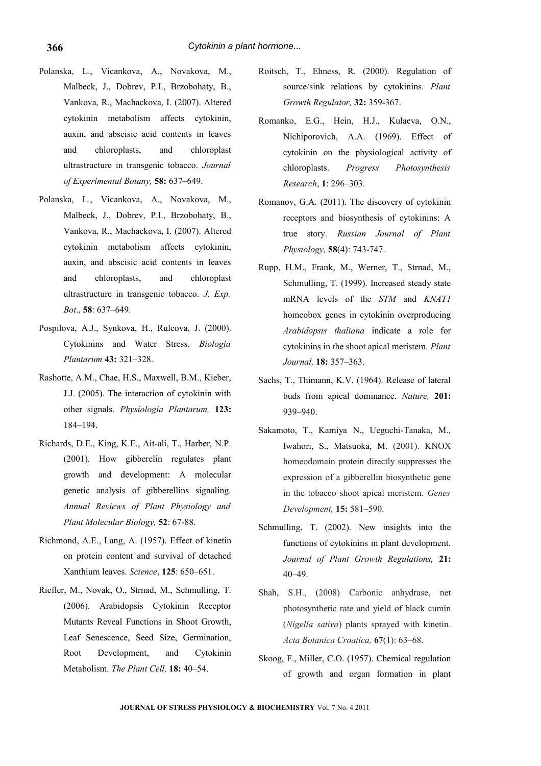- Polanska, L., Vicankova, A., Novakova, M., Malbeck, J., Dobrev, P.I., Brzobohaty, B., Vankova, R., Machackova, I. (2007). Altered cytokinin metabolism affects cytokinin, auxin, and abscisic acid contents in leaves and chloroplasts, and chloroplast ultrastructure in transgenic tobacco. *Journal of Experimental Botany,* **58:** 637–649.
- Polanska, L., Vicankova, A., Novakova, M., Malbeck, J., Dobrev, P.I., Brzobohaty, B., Vankova, R., Machackova, I. (2007). Altered cytokinin metabolism affects cytokinin, auxin, and abscisic acid contents in leaves and chloroplasts, and chloroplast ultrastructure in transgenic tobacco. *J. Exp. Bot*., **58**: 637–649.
- Pospilova, A.J., Synkova, H., Rulcova, J. (2000). Cytokinins and Water Stress. *Biologia Plantarum* **43:** 321–328.
- Rashotte, A.M., Chae, H.S., Maxwell, B.M., Kieber, J.J. (2005). The interaction of cytokinin with other signals. *Physiologia Plantarum,* **123:** 184–194.
- Richards, D.E., King, K.E., Ait-ali, T., Harber, N.P. (2001). How gibberelin regulates plant growth and development: A molecular genetic analysis of gibberellins signaling. *Annual Reviews of Plant Physiology and Plant Molecular Biology,* **52**: 67-88.
- Richmond, A.E., Lang, A. (1957). Effect of kinetin on protein content and survival of detached Xanthium leaves. *Science*, **125**: 650–651.
- Riefler, M., Novak, O., Strnad, M., Schmulling, T. (2006). Arabidopsis Cytokinin Receptor Mutants Reveal Functions in Shoot Growth, Leaf Senescence, Seed Size, Germination, Root Development, and Cytokinin Metabolism. *The Plant Cell,* **18:** 40–54.
- Roitsch, T., Ehness, R. (2000). Regulation of source/sink relations by cytokinins. *Plant Growth Regulator,* **32:** 359-367.
- Romanko, E.G., Hein, H.J., Kulaeva, O.N., Nichiporovich, A.A. (1969). Effect of cytokinin on the physiological activity of chloroplasts. *Progress Photosynthesis Research*, **1**: 296–303.
- Romanov, G.A. (2011). The discovery of cytokinin receptors and biosynthesis of cytokinins: A true story. *Russian Journal of Plant Physiology,* **58**(4): 743-747.
- Rupp, H.M., Frank, M., Werner, T., Strnad, M., Schmulling, T. (1999). Increased steady state mRNA levels of the *STM* and *KNAT1* homeobox genes in cytokinin overproducing *Arabidopsis thaliana* indicate a role for cytokinins in the shoot apical meristem. *Plant Journal,* **18:** 357–363.
- Sachs, T., Thimann, K.V. (1964). Release of lateral buds from apical dominance. *Nature,* **201:** 939–940.
- Sakamoto, T., Kamiya N., Ueguchi-Tanaka, M., Iwahori, S., Matsuoka, M. (2001). KNOX homeodomain protein directly suppresses the expression of a gibberellin biosynthetic gene in the tobacco shoot apical meristem. *Genes Development,* **15:** 581–590.
- Schmulling, T. (2002). New insights into the functions of cytokinins in plant development. *Journal of Plant Growth Regulations,* **21:** 40–49.
- Shah, S.H., (2008) Carbonic anhydrase, net photosynthetic rate and yield of black cumin (*Nigella sativa*) plants sprayed with kinetin. *Acta Botanica Croatica,* **67**(1): 63–68.
- Skoog, F., Miller, C.O. (1957). Chemical regulation of growth and organ formation in plant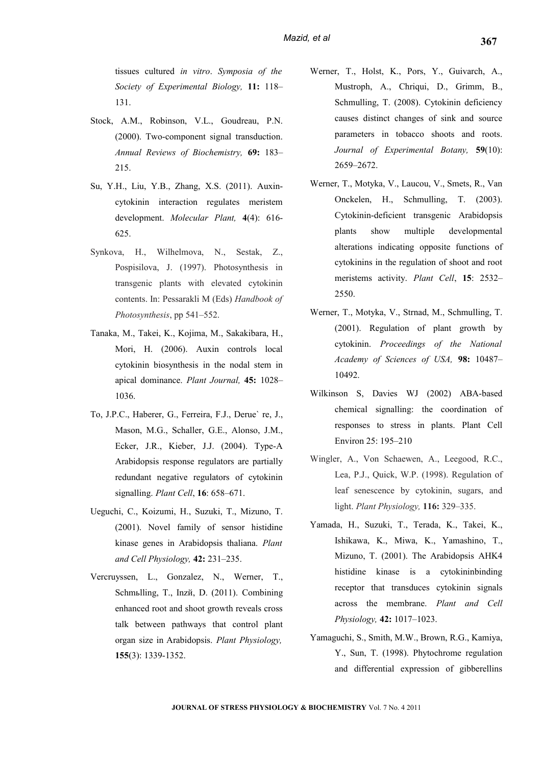tissues cultured *in vitro*. *Symposia of the Society of Experimental Biology,* **11:** 118– 131.

- Stock, A.M., Robinson, V.L., Goudreau, P.N. (2000). Two-component signal transduction. *Annual Reviews of Biochemistry,* **69:** 183– 215.
- Su, Y.H., Liu, Y.B., Zhang, X.S. (2011). Auxincytokinin interaction regulates meristem development. *[Molecular Plant,](http://www.ncbi.nlm.nih.gov/pubmed/21357646)* **4**(4): 616- 625.
- Synkova, H., Wilhelmova, N., Sestak, Z., Pospisilova, J. (1997). Photosynthesis in transgenic plants with elevated cytokinin contents. In: Pessarakli M (Eds) *Handbook of Photosynthesis*, pp 541–552.
- Tanaka, M., Takei, K., Kojima, M., Sakakibara, H., Mori, H. (2006). Auxin controls local cytokinin biosynthesis in the nodal stem in apical dominance. *Plant Journal,* **45:** 1028– 1036.
- To, J.P.C., Haberer, G., Ferreira, F.J., Derue` re, J., Mason, M.G., Schaller, G.E., Alonso, J.M., Ecker, J.R., Kieber, J.J. (2004). Type-A Arabidopsis response regulators are partially redundant negative regulators of cytokinin signalling. *Plant Cell*, **16**: 658–671.
- Ueguchi, C., Koizumi, H., Suzuki, T., Mizuno, T. (2001). Novel family of sensor histidine kinase genes in Arabidopsis thaliana. *Plant and Cell Physiology,* **42:** 231–235.
- Vercruyssen, L., Gonzalez, N., Werner, T., Schmьlling, T., Inzй, D. (2011). Combining enhanced root and shoot growth reveals cross talk between pathways that control plant organ size in Arabidopsis. *[Plant Physiolo](http://www.ncbi.nlm.nih.gov/pubmed/21205622)gy,* **155**(3): 1339-1352.
- Werner, T., Holst, K., Pors, Y., Guivarch, A., Mustroph, A., Chriqui, D., Grimm, B., Schmulling, T. (2008). Cytokinin deficiency causes distinct changes of sink and source parameters in tobacco shoots and roots. *Journal of Experimental Botany,* **59**(10): 2659–2672.
- Werner, T., Motyka, V., Laucou, V., Smets, R., Van Onckelen, H., Schmulling, T. (2003). Cytokinin-deficient transgenic Arabidopsis plants show multiple developmental alterations indicating opposite functions of cytokinins in the regulation of shoot and root meristems activity. *Plant Cell*, **15**: 2532– 2550.
- Werner, T., Motyka, V., Strnad, M., Schmulling, T. (2001). Regulation of plant growth by cytokinin. *Proceedings of the National Academy of Sciences of USA,* **98:** 10487– 10492.
- Wilkinson S, Davies WJ (2002) ABA-based chemical signalling: the coordination of responses to stress in plants. Plant Cell Environ 25: 195–210
- Wingler, A., Von Schaewen, A., Leegood, R.C., Lea, P.J., Quick, W.P. (1998). Regulation of leaf senescence by cytokinin, sugars, and light. *Plant Physiology,* **116:** 329–335.
- Yamada, H., Suzuki, T., Terada, K., Takei, K., Ishikawa, K., [Miwa, K.](http://www.ncbi.nlm.nih.gov/pubmed?term=%22Miwa%20K%22%5BAuthor%5D), [Yamashino, T.](http://www.ncbi.nlm.nih.gov/pubmed?term=%22Yamashino%20T%22%5BAuthor%5D), [Mizuno, T.](http://www.ncbi.nlm.nih.gov/pubmed?term=%22Mizuno%20T%22%5BAuthor%5D) (2001). The Arabidopsis AHK4 histidine kinase is a cytokininbinding receptor that transduces cytokinin signals across the membrane. *Plant and Cell Physiology,* **42:** 1017–1023.
- Yamaguchi, S., Smith, M.W., Brown, R.G., Kamiya, Y., Sun, T. (1998). Phytochrome regulation and differential expression of gibberellins